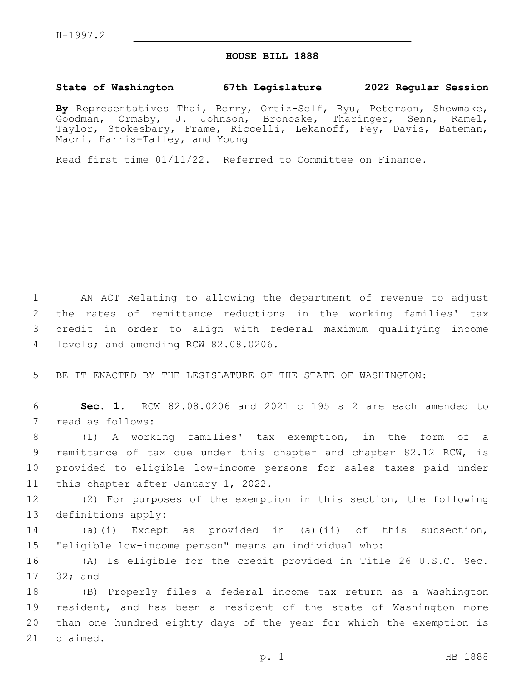## **HOUSE BILL 1888**

## **State of Washington 67th Legislature 2022 Regular Session**

**By** Representatives Thai, Berry, Ortiz-Self, Ryu, Peterson, Shewmake, Goodman, Ormsby, J. Johnson, Bronoske, Tharinger, Senn, Ramel, Taylor, Stokesbary, Frame, Riccelli, Lekanoff, Fey, Davis, Bateman, Macri, Harris-Talley, and Young

Read first time 01/11/22. Referred to Committee on Finance.

 AN ACT Relating to allowing the department of revenue to adjust the rates of remittance reductions in the working families' tax credit in order to align with federal maximum qualifying income 4 levels; and amending RCW 82.08.0206.

5 BE IT ENACTED BY THE LEGISLATURE OF THE STATE OF WASHINGTON:

6 **Sec. 1.** RCW 82.08.0206 and 2021 c 195 s 2 are each amended to 7 read as follows:

 (1) A working families' tax exemption, in the form of a remittance of tax due under this chapter and chapter 82.12 RCW, is provided to eligible low-income persons for sales taxes paid under 11 this chapter after January 1, 2022.

12 (2) For purposes of the exemption in this section, the following 13 definitions apply:

14 (a)(i) Except as provided in (a)(ii) of this subsection, 15 "eligible low-income person" means an individual who:

16 (A) Is eligible for the credit provided in Title 26 U.S.C. Sec. 17 32; and

 (B) Properly files a federal income tax return as a Washington resident, and has been a resident of the state of Washington more than one hundred eighty days of the year for which the exemption is 21 claimed.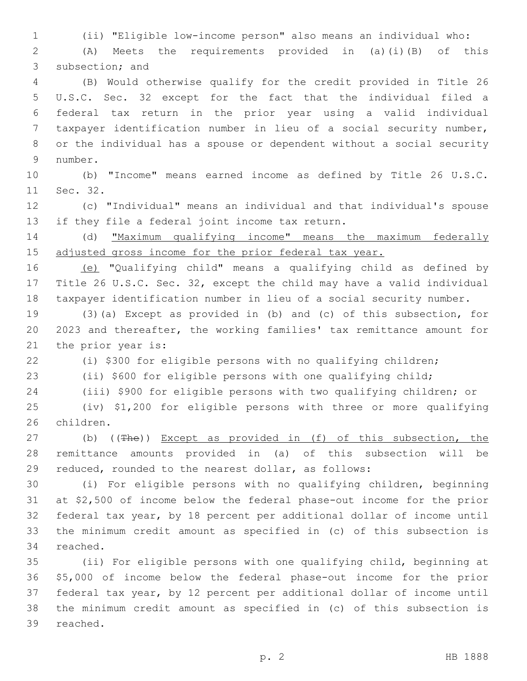(ii) "Eligible low-income person" also means an individual who: (A) Meets the requirements provided in (a)(i)(B) of this

3 subsection; and (B) Would otherwise qualify for the credit provided in Title 26 U.S.C. Sec. 32 except for the fact that the individual filed a federal tax return in the prior year using a valid individual taxpayer identification number in lieu of a social security number, or the individual has a spouse or dependent without a social security 9 number.

 (b) "Income" means earned income as defined by Title 26 U.S.C. 11 Sec. 32.

 (c) "Individual" means an individual and that individual's spouse 13 if they file a federal joint income tax return.

 (d) "Maximum qualifying income" means the maximum federally 15 adjusted gross income for the prior federal tax year.

 (e) "Qualifying child" means a qualifying child as defined by Title 26 U.S.C. Sec. 32, except the child may have a valid individual taxpayer identification number in lieu of a social security number.

 (3)(a) Except as provided in (b) and (c) of this subsection, for 2023 and thereafter, the working families' tax remittance amount for 21 the prior year is:

(i) \$300 for eligible persons with no qualifying children;

(ii) \$600 for eligible persons with one qualifying child;

(iii) \$900 for eligible persons with two qualifying children; or

 (iv) \$1,200 for eligible persons with three or more qualifying 26 children.

27 (b) ((The)) Except as provided in (f) of this subsection, the remittance amounts provided in (a) of this subsection will be reduced, rounded to the nearest dollar, as follows:

 (i) For eligible persons with no qualifying children, beginning at \$2,500 of income below the federal phase-out income for the prior federal tax year, by 18 percent per additional dollar of income until the minimum credit amount as specified in (c) of this subsection is 34 reached.

 (ii) For eligible persons with one qualifying child, beginning at \$5,000 of income below the federal phase-out income for the prior federal tax year, by 12 percent per additional dollar of income until the minimum credit amount as specified in (c) of this subsection is 39 reached.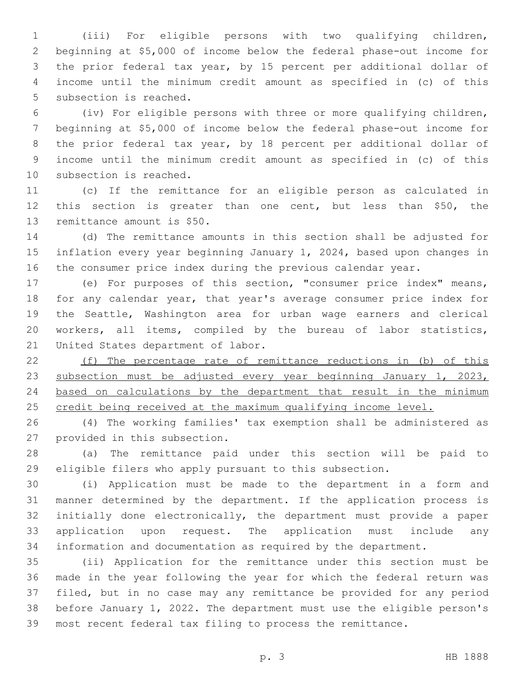(iii) For eligible persons with two qualifying children, beginning at \$5,000 of income below the federal phase-out income for the prior federal tax year, by 15 percent per additional dollar of income until the minimum credit amount as specified in (c) of this 5 subsection is reached.

 (iv) For eligible persons with three or more qualifying children, beginning at \$5,000 of income below the federal phase-out income for the prior federal tax year, by 18 percent per additional dollar of income until the minimum credit amount as specified in (c) of this 10 subsection is reached.

 (c) If the remittance for an eligible person as calculated in this section is greater than one cent, but less than \$50, the 13 remittance amount is \$50.

 (d) The remittance amounts in this section shall be adjusted for inflation every year beginning January 1, 2024, based upon changes in the consumer price index during the previous calendar year.

 (e) For purposes of this section, "consumer price index" means, for any calendar year, that year's average consumer price index for the Seattle, Washington area for urban wage earners and clerical workers, all items, compiled by the bureau of labor statistics, 21 United States department of labor.

 (f) The percentage rate of remittance reductions in (b) of this 23 subsection must be adjusted every year beginning January 1, 2023, based on calculations by the department that result in the minimum 25 credit being received at the maximum qualifying income level.

 (4) The working families' tax exemption shall be administered as 27 provided in this subsection.

 (a) The remittance paid under this section will be paid to eligible filers who apply pursuant to this subsection.

 (i) Application must be made to the department in a form and manner determined by the department. If the application process is initially done electronically, the department must provide a paper application upon request. The application must include any information and documentation as required by the department.

 (ii) Application for the remittance under this section must be made in the year following the year for which the federal return was filed, but in no case may any remittance be provided for any period before January 1, 2022. The department must use the eligible person's most recent federal tax filing to process the remittance.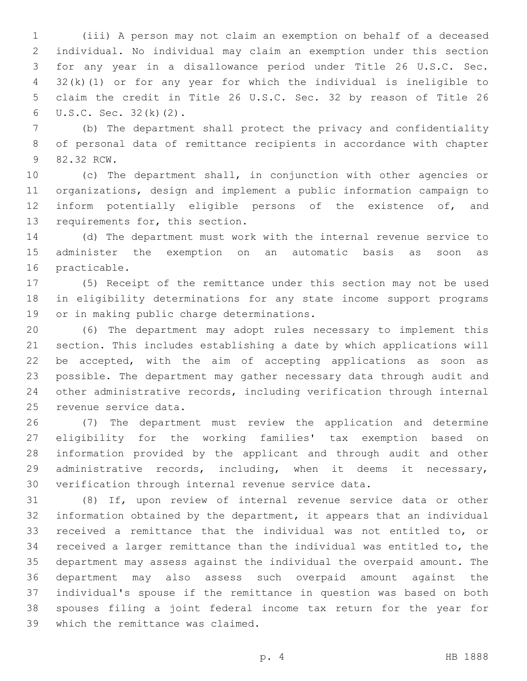(iii) A person may not claim an exemption on behalf of a deceased individual. No individual may claim an exemption under this section for any year in a disallowance period under Title 26 U.S.C. Sec. 32(k)(1) or for any year for which the individual is ineligible to claim the credit in Title 26 U.S.C. Sec. 32 by reason of Title 26  $U.S.C.$  Sec.  $32(k)(2)$ .

 (b) The department shall protect the privacy and confidentiality of personal data of remittance recipients in accordance with chapter 9 82.32 RCW.

 (c) The department shall, in conjunction with other agencies or organizations, design and implement a public information campaign to inform potentially eligible persons of the existence of, and 13 requirements for, this section.

 (d) The department must work with the internal revenue service to administer the exemption on an automatic basis as soon as 16 practicable.

 (5) Receipt of the remittance under this section may not be used in eligibility determinations for any state income support programs 19 or in making public charge determinations.

 (6) The department may adopt rules necessary to implement this section. This includes establishing a date by which applications will be accepted, with the aim of accepting applications as soon as possible. The department may gather necessary data through audit and other administrative records, including verification through internal 25 revenue service data.

 (7) The department must review the application and determine eligibility for the working families' tax exemption based on information provided by the applicant and through audit and other administrative records, including, when it deems it necessary, verification through internal revenue service data.

 (8) If, upon review of internal revenue service data or other information obtained by the department, it appears that an individual received a remittance that the individual was not entitled to, or received a larger remittance than the individual was entitled to, the department may assess against the individual the overpaid amount. The department may also assess such overpaid amount against the individual's spouse if the remittance in question was based on both spouses filing a joint federal income tax return for the year for 39 which the remittance was claimed.

p. 4 HB 1888